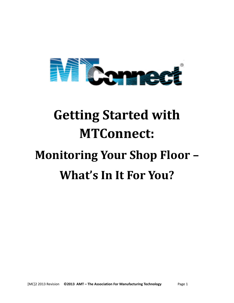

# **Getting Started with MTConnect:**

# **Monitoring Your Shop Floor – What's In It For You?**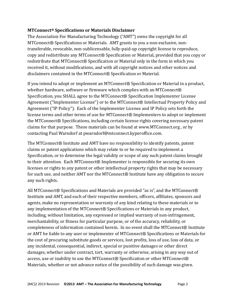## **MTConnect® Specifications or Materials Disclaimer**

The Association For Manufacturing Technology ("AMT") owns the copyright for all MTConnect® Specifications or Materials. AMT grants to you a non-exclusive, nontransferable, revocable, non-sublicensable, fully-paid-up copyright license to reproduce, copy and redistribute any MTConnect® Specification or Material, provided that you copy or redistribute that MTConnect® Specification or Material only in the form in which you received it, without modifications, and with all copyright notices and other notices and disclaimers contained in the MTConnect® Specification or Material.

If you intend to adopt or implement an MTConnect® Specification or Material in a product, whether hardware, software or firmware which complies with an MTConnect® Specification, you SHALL agree to the MTConnect® Specification Implementer License Agreement ("Implementer License") or to the MTConnect® Intellectual Property Policy and Agreement ("IP Policy"). Each of the Implementer License and IP Policy sets forth the license terms and other terms of use for MTConnect® Implementers to adopt or implement the MTConnect® Specifications, including certain license rights covering necessary patent claims for that purpose. These materials can be found at [www.MTConnect.org](http://www.mtconnect.org/) , or by contacting Paul Warndorf at [pwarndorf@mtconnect.hyperoffice.com.](mailto:pwarndorf@mtconnect.hyperoffice.com)

The MTConnect® Institute and AMT have no responsibility to identify patents, patent claims or patent applications which may relate to or be required to implement a Specification, or to determine the legal validity or scope of any such patent claims brought to their attention. Each MTConnect® Implementer is responsible for securing its own licenses or rights to any patent or other intellectual property rights that may be necessary for such use, and neither AMT nor the MTConnect® Institute have any obligation to secure any such rights.

All MTConnect® Specifications and Materials are provided "as is", and the MTConnect® Institute and AMT, and each of their respective members, officers, affiliates, sponsors and agents, make no representation or warranty of any kind relating to these materials or to any implementation of the MTConnect® Specifications or Materials in any product, including, without limitation, any expressed or implied warranty of non-infringement, merchantability, or fitness for particular purpose, or of the accuracy, reliability, or completeness of information contained herein. In no event shall the MTConnect® Institute or AMT be liable to any user or implementer of MTConnect® Specifications or Materials for the cost of procuring substitute goods or services, lost profits, loss of use, loss of data, or any incidental, consequential, indirect, special or punitive damages or other direct damages, whether under contract, tort, warranty or otherwise, arising in any way out of access, use or inability to use the MTConnect® Specification or other MTConnect® Materials, whether or not advance notice of the possibility of such damage was given.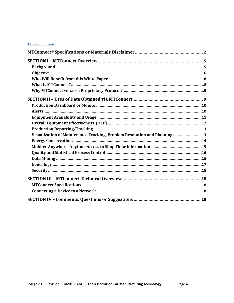#### **Table of Contents**

| Visualization of Maintenance Tracking, Problem Resolution and Planning13 |  |
|--------------------------------------------------------------------------|--|
|                                                                          |  |
|                                                                          |  |
|                                                                          |  |
|                                                                          |  |
|                                                                          |  |
|                                                                          |  |
|                                                                          |  |
|                                                                          |  |
|                                                                          |  |
|                                                                          |  |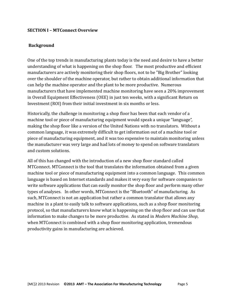## **SECTION I – MTConnect Overview**

## **Background**

One of the top trends in manufacturing plants today is the need and desire to have a better understanding of what is happening on the shop floor. The most productive and efficient manufacturers are actively monitoring their shop floors, not to be "Big Brother" looking over the shoulder of the machine operator, but rather to obtain additional information that can help the machine operator and the plant to be more productive. Numerous manufacturers that have implemented machine monitoring have seen a 20% improvement in Overall Equipment Effectiveness (OEE) in just ten weeks, with a significant Return on Investment (ROI) from their initial investment in six months or less.

Historically, the challenge in monitoring a shop floor has been that each vendor of a machine tool or piece of manufacturing equipment would speak a unique "language", making the shop floor like a version of the United Nations with no translators. Without a common language, it was extremely difficult to get information out of a machine tool or piece of manufacturing equipment, and it was too expensive to maintain monitoring unless the manufacturer was very large and had lots of money to spend on software translators and custom solutions.

All of this has changed with the introduction of a new shop floor standard called MTConnect. MTConnect is the tool that translates the information obtained from a given machine tool or piece of manufacturing equipment into a common language. This common language is based on Internet standards and makes it very easy for software companies to write software applications that can easily monitor the shop floor and perform many other types of analyses. In other words, MTConnect is the "Bluetooth" of manufacturing. As such, MTConnect is not an application but rather a common translator that allows any machine in a plant to easily talk to software applications, such as a shop floor monitoring protocol, so that manufacturers know what is happening on the shop floor and can use that information to make changes to be more productive. As stated in *Modern Machine Shop*, when MTConnect is combined with a shop floor monitoring application, tremendous productivity gains in manufacturing are achieved.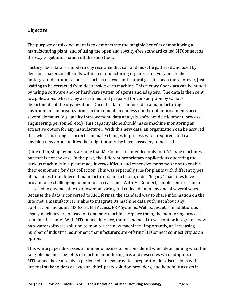## **Objective**

The purpose of this document is to demonstrate the tangible benefits of monitoring a manufacturing plant, and of using the open and royalty-free standard called MTConnect as the way to get information off the shop floor.

Factory floor data is a modern day resource that can and must be gathered and used by decision-makers of all kinds within a manufacturing organization. Very much like underground natural resources such as oil, coal and natural gas, it's been there forever, just waiting to be extracted from deep inside each machine. This factory floor data can be mined by using a software and/or hardware system of agents and adapters. The data is then sent to applications where they are refined and prepared for consumption by various departments of the organization. Once the data is unlocked in a manufacturing environment, an organization can implement an endless number of improvements across several domains (e.g. quality improvement, data analysis, software development, process engineering, personnel, etc.) This capacity alone should make machine monitoring an attractive option for any manufacturer. With this new data, an organization can be assured that what it is doing is correct, can make changes to process when required, and can envision new opportunities that might otherwise have passed by unnoticed.

Quite often, shop owners assume that MTConnect is intended only for CNC type machines, but that is not the case. In the past, the different proprietary applications operating the various machines in a plant made it very difficult and expensive for some shops to enable their equipment for data collection. This was especially true for plants with different types of machines from different manufacturers. In particular, older "legacy" machines have proven to be challenging to monitor in real time. With MTConnect, simple sensors can be attached to any machine to allow monitoring and collect data in any one of several ways. Because the data is converted to XML format, the standard way to share information on the Internet, a manufacturer is able to integrate its machine data with just about any application, including MS Excel, MS Access, ERP Systems, Web pages, etc. In addition, as legacy machines are phased out and new machines replace them, the monitoring process remains the same. With MTConnect in place, there is no need to seek out or integrate a new hardware/software solution to monitor the new machines. Importantly, an increasing number of industrial equipment manufacturers are offering MTConnect connectivity as an option.

This white paper discusses a number of issues to be considered when determining what the tangible business benefits of machine monitoring are, and describes what adopters of MTConnect have already experienced. It also provides preparation for discussions with internal stakeholders or external third-party solution providers, and hopefully assists in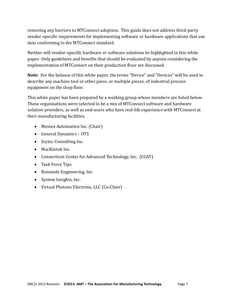removing any barriers to MTConnect adoption. This guide does not address third-party vendor-specific requirements for implementing software or hardware applications that use data conforming to the MTConnect standard.

Neither will vendor-specific hardware or software solutions be highlighted in this white paper. Only guidelines and benefits that should be evaluated by anyone considering the implementation of MTConnect on their production floor are discussed.

**Note:** For the balance of this white paper, the terms "Device" and "Devices" will be used to describe any machine tool or other piece, or multiple pieces, of industrial process equipment on the shop floor.

This white paper has been prepared by a working group whose members are listed below. These organizations were selected to be a mix of MTConnect software and hardware solution providers, as well as end-users who have real-life experience with MTConnect at their manufacturing facilities.

- Memex Automation Inc. (Chair)
- General Dynamics OTS
- Scytec Consulting Inc.
- MacKintok Inc.
- Connecticut Center for Advanced Technology, Inc. (CCAT)
- Task Force Tips
- Remmele Engineering, Inc.
- System Insights, Inc.
- Virtual Photons Electrons, LLC (Co-Chair)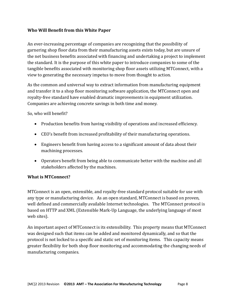## **Who Will Benefit from this White Paper**

An ever-increasing percentage of companies are recognizing that the possibility of garnering shop floor data from their manufacturing assets exists today, but are unsure of the net business benefits associated with financing and undertaking a project to implement the standard. It is the purpose of this white paper to introduce companies to some of the tangible benefits associated with monitoring shop floor assets utilizing MTConnect, with a view to generating the necessary impetus to move from thought to action.

As the common and universal way to extract information from manufacturing equipment and transfer it to a shop floor monitoring software application, the MTConnect open and royalty-free standard have enabled dramatic improvements in equipment utilization. Companies are achieving concrete savings in both time and money.

So, who will benefit?

- Production benefits from having visibility of operations and increased efficiency.
- CEO's benefit from increased profitability of their manufacturing operations.
- Engineers benefit from having access to a significant amount of data about their machining processes.
- Operators benefit from being able to communicate better with the machine and all stakeholders affected by the machines.

# **What is MTConnect?**

MTConnect is an open, extensible, and royalty-free standard protocol suitable for use with any type or manufacturing device. As an open standard, MTConnect is based on proven, well defined and commercially available Internet technologies. The MTConnect protocol is based on HTTP and XML (Extensible Mark-Up Language, the underlying language of most web sites).

An important aspect of MTConnect is its extensibility. This property means that MTConnect was designed such that items can be added and monitored dynamically, and so that the protocol is not locked to a specific and static set of monitoring items. This capacity means greater flexibility for both shop floor monitoring and accommodating the changing needs of manufacturing companies.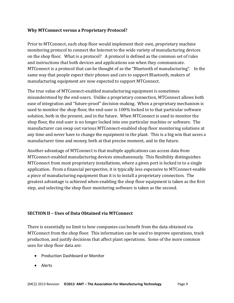## **Why MTConnect versus a Proprietary Protocol?**

Prior to MTConnect, each shop floor would implement their own, proprietary machine monitoring protocol to connect the Internet to the wide variety of manufacturing devices on the shop floor. What is a protocol? A protocol is defined as the common set of rules and instructions that both devices and applications use when they communicate. MTConnect is a protocol that can be thought of as the "Bluetooth of manufacturing". In the same way that people expect their phones and cars to support Bluetooth, makers of manufacturing equipment are now expected to support MTConnect.

The true value of MTConnect-enabled manufacturing equipment is sometimes misunderstood by the end-users. Unlike a proprietary connection, MTConnect allows both ease of integration and "future-proof" decision-making. When a proprietary mechanism is used to monitor the shop floor, the end-user is 100% locked in to that particular software solution, both in the present, and in the future. When MTConnect is used to monitor the shop floor, the end-user is no longer locked into one particular machine or software. The manufacturer can swap out various MTConnect-enabled shop floor monitoring solutions at any time and never have to change the equipment in the plant. This is a big win that saves a manufacturer time and money, both at that precise moment, and in the future.

Another advantage of MTConnect is that multiple applications can access data from MTConnect-enabled manufacturing devices simultaneously. This flexibility distinguishes MTConnect from most proprietary installations, where a given port is locked in to a single application. From a financial perspective, it is typically less expensive to MTConnect-enable a piece of manufacturing equipment than it is to install a proprietary connection. The greatest advantage is achieved when enabling the shop floor equipment is taken as the first step, and selecting the shop floor monitoring software is taken as the second.

## **SECTION II – Uses of Data Obtained via MTConnect**

There is essentially no limit to how companies can benefit from the data obtained via MTConnect from the shop floor. This information can be used to improve operations, track production, and justify decisions that affect plant operations. Some of the more common uses for shop floor data are:

- Production Dashboard or Monitor
- Alerts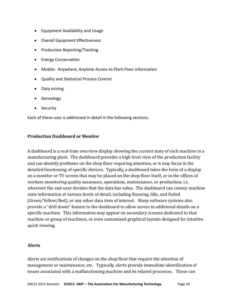- Equipment Availability and Usage
- Overall Equipment Effectiveness
- Production Reporting/Tracking
- Energy Conservation
- Mobile: Anywhere, Anytime Access to Plant Floor Information
- Quality and Statistical Process Control
- Data mining
- **•** Genealogy
- Security

Each of these uses is addressed in detail in the following sections.

#### **Production Dashboard or Monitor**

A dashboard is a real-time overview display showing the current state of each machine in a manufacturing plant. The dashboard provides a high level view of the production facility and can identify problems on the shop floor requiring attention, or it may focus in the detailed functioning of specific devices. Typically, a dashboard takes the form of a display on a monitor or TV screen that may be placed on the shop floor itself, or in the offices of workers monitoring quality assurance, operations, maintenance, or production; i.e. wherever the end-user decides that the data has value. The dashboard can convey machine state information at various levels of detail, including Running, Idle, and Failed (Green/Yellow/Red), or any other data item of interest. Many software systems also provide a "drill down" feature to the dashboard to allow access to additional details on a specific machine. This information may appear on secondary screens dedicated to that machine or group of machines, or even customized graphical layouts designed for intuitive quick viewing.

## **Alerts**

Alerts are notifications of changes on the shop floor that require the attention of management or maintenance, etc. Typically, alerts provide immediate identification of issues associated with a malfunctioning machine and its related processes. These can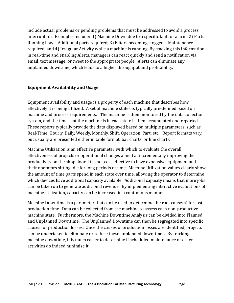include actual problems or pending problems that must be addressed to avoid a process interruption. Examples include: 1) Machine Down due to a specific fault or alarm; 2) Parts Running Low – Additional parts required; 3) Filters becoming clogged – Maintenance required; and 4) Irregular Activity while a machine is running. By tracking this information in real-time and enabling Alerts, managers can react quickly and send a notification via email, text message, or tweet to the appropriate people. Alerts can eliminate any unplanned downtime, which leads to a higher throughput and profitability.

## **Equipment Availability and Usage**

Equipment availability and usage is a property of each machine that describes how effectively it is being utilized. A set of machine states is typically pre-defined based on machine and process requirements. The machine is then monitored by the data collection system, and the time that the machine is in each state is then accumulated and reported. These reports typically provide the data displayed based on multiple parameters, such as Real-Time, Hourly, Daily, Weekly, Monthly, Shift, Operation, Part, etc. Report formats vary, but usually are presented either in table format, bar charts, or line charts.

Machine Utilization is an effective parameter with which to evaluate the overall effectiveness of projects or operational changes aimed at incrementally improving the productivity on the shop floor. It is not cost-effective to have expensive equipment and their operators sitting idle for long periods of time. Machine Utilization values clearly show the amount of time parts spend in each state over time, allowing the operator to determine which devices have additional capacity available. Additional capacity means that more jobs can be taken on to generate additional revenue. By implementing interactive evaluations of machine utilization, capacity can be increased in a continuous manner.

Machine Downtime is a parameter that can be used to determine the root cause(s) for lost production time. Data can be collected from the machine to assess each non-productive machine state. Furthermore, the Machine Downtime Analysis can be divided into Planned and Unplanned Downtime. The Unplanned Downtime can then be segregated into specific causes for production losses. Once the causes of production losses are identified, projects can be undertaken to eliminate or reduce these unplanned downtimes. By tracking machine downtime, it is much easier to determine if scheduled maintenance or other activities do indeed minimize it.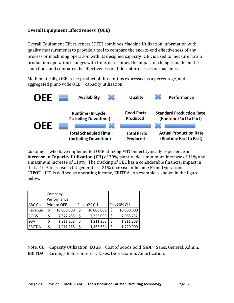# **Overall Equipment Effectiveness (OEE)**

Overall Equipment Effectiveness (OEE) combines Machine Utilization information with quality measurements to provide a tool to compare the end-to-end effectiveness of any process or machining operation with its designed capacity. OEE is used to measure how a production operation changes with time, determines the impact of changes made on the shop floor, and compares the effectiveness of different processes or machines.

Mathematically, OEE is the product of three ratios expressed as a percentage, and aggregated plant-wide OEE = capacity utilization.



Customers who have implemented OEE utilizing MTConnect typically experience an **increase in Capacity Utilization (CU)** of 30% plant-wide, a minimum increase of 11% and a maximum increase of 110%. The tracking of OEE has a considerable financial impact in that a 10% increase in CU generates a 21% increase in **I**ncome **F**rom **O**perations ("**IFO**"). IFO is defined as operating income, EBITDA. An example is shown in the figure below.

|            |              | Company    |             |            |             |            |
|------------|--------------|------------|-------------|------------|-------------|------------|
|            | Performance  |            |             |            |             |            |
| ABC Co     | Prior to OEE |            | Plus 10% CU |            | Plus 20% CU |            |
| Revenue    | \$           | 10,000,000 | \$          | 10,000,000 | \$          | 10,000,000 |
| COGS       | \$           | 7,577,465  | \$          | 7,323,099  | \$          | 7,068,732  |
| <b>SGA</b> | \$           | 1,211,268  | \$          | 1,211,268  | \$          | 1,211,268  |
| EBITDA     |              | 1,211,268  |             | 1,465,634  |             | 1,720,000  |

Note: **CU** = Capacity Utilization **COGS** = Cost of Goods Sold **SGA** = Sales, General, Admin. **EBITDA** = Earnings Before Interest, Taxes, Depreciation, Amortization.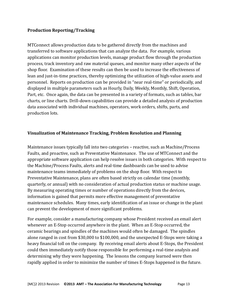## **Production Reporting/Tracking**

MTConnect allows production data to be gathered directly from the machines and transferred to software applications that can analyze the data. For example, various applications can monitor production levels, manage product flow through the production process, track inventory and raw material queues, and monitor many other aspects of the shop floor. Examination of these results can then be used to increase the effectiveness of lean and just-in-time practices, thereby optimizing the utilization of high-value assets and personnel. Reports on production can be provided in "near real-time" or periodically, and displayed in multiple parameters such as Hourly, Daily, Weekly, Monthly, Shift, Operation, Part, etc. Once again, the data can be presented in a variety of formats, such as tables, bar charts, or line charts. Drill-down capabilities can provide a detailed analysis of production data associated with individual machines, operators, work orders, shifts, parts, and production lots.

## **Visualization of Maintenance Tracking, Problem Resolution and Planning**

Maintenance issues typically fall into two categories – reactive, such as Machine/Process Faults, and proactive, such as Preventative Maintenance. The use of MTConnect and the appropriate software application can help resolve issues in both categories. With respect to the Machine/Process Faults, alerts and real-time dashboards can be used to advise maintenance teams immediately of problems on the shop floor. With respect to Preventative Maintenance, plans are often based strictly on calendar time (monthly, quarterly, or annual) with no consideration of actual production status or machine usage. By measuring operating times or number of operations directly from the devices, information is gained that permits more effective management of preventative maintenance schedules. Many times, early identification of an issue or change in the plant can prevent the development of more significant problems.

For example, consider a manufacturing company whose President received an email alert whenever an E-Stop occurred anywhere in the plant. When an E-Stop occurred, the ceramic bearings and spindles of the machines would often be damaged. The spindles alone ranged in cost from \$30,000 to \$100,000, and the unexpected E-Stops were taking a heavy financial toll on the company. By receiving email alerts about E-Stops, the President could then immediately notify those responsible for performing a real-time analysis and determining why they were happening. The lessons the company learned were then rapidly applied in order to minimize the number of times E-Stops happened in the future.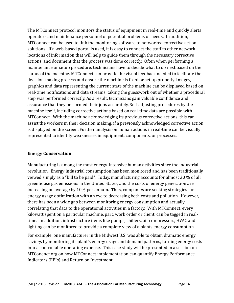The MTConnect protocol monitors the status of equipment in real-time and quickly alerts operators and maintenance personnel of potential problems or needs. In addition, MTConnect can be used to link the monitoring software to networked corrective action solutions. If a web-based portal is used, it is easy to connect the staff to other network locations of information that will help to guide them through the necessary corrective actions, and document that the process was done correctly. Often when performing a maintenance or setup procedure, technicians have to decide what to do next based on the status of the machine. MTConnect can provide the visual feedback needed to facilitate the decision-making process and ensure the machine is fixed or set up properly. Images, graphics and data representing the current state of the machine can be displayed based on real-time notifications and data streams, taking the guesswork out of whether a procedural step was performed correctly. As a result, technicians gain valuable confidence and assurance that they performed their jobs accurately. Self-adjusting procedures by the machine itself, including corrective actions based on real-time data are possible with MTConnect. With the machine acknowledging its previous corrective actions, this can assist the workers in their decision making, if a previously acknowledged corrective action is displayed on the screen. Further analysis on human actions in real-time can be visually represented to identify weaknesses in equipment, components, or processes.

#### **Energy Conservation**

Manufacturing is among the most energy-intensive human activities since the industrial revolution. Energy industrial consumption has been monitored and has been traditionally viewed simply as a "bill to be paid". Today, manufacturing accounts for almost 30 % of all greenhouse gas emissions in the United States, and the costs of energy generation are increasing on average by 10% per annum. Thus, companies are seeking strategies for energy usage optimization with an eye to decreasing both costs and pollution. However, there has been a wide gap between monitoring energy consumption and actually correlating that data to the operational activities in a factory. With MTConnect, every kilowatt spent on a particular machine, part, work order or client, can be tagged in realtime. In addition, infrastructure items like pumps, chillers, air compressors, HVAC and lighting can be monitored to provide a complete view of a plants energy consumption.

For example, one manufacturer in the Midwest U.S. was able to obtain dramatic energy savings by monitoring its plant's energy usage and demand patterns, turning energy costs into a controllable operating expense. This case study will be presented in a session on MTConenct.org on how MTConnect implementation can quantify Energy Performance Indicators (EPIs) and Return on Investment.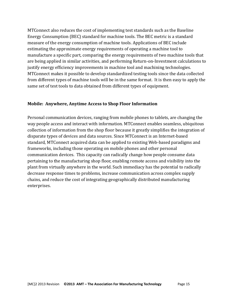MTConnect also reduces the cost of implementing test standards such as the Baseline Energy Consumption (BEC) standard for machine tools. The BEC metric is a standard measure of the energy consumption of machine tools. Applications of BEC include estimating the approximate energy requirements of operating a machine tool to manufacture a specific part, comparing the energy requirements of two machine tools that are being applied in similar activities, and performing Return-on-Investment calculations to justify energy efficiency improvements in machine tool and machining technologies. MTConnect makes it possible to develop standardized testing tools since the data collected from different types of machine tools will be in the same format. It is then easy to apply the same set of test tools to data obtained from different types of equipment.

## **Mobile: Anywhere, Anytime Access to Shop Floor Information**

Personal communication devices, ranging from mobile phones to tablets, are changing the way people access and interact with information. MTConnect enables seamless, ubiquitous collection of information from the shop floor because it greatly simplifies the integration of disparate types of devices and data sources. Since MTConnect is an Internet-based standard, MTConnect acquired data can be applied to existing Web-based paradigms and frameworks, including those operating on mobile phones and other personal communication devices. This capacity can radically change how people consume data pertaining to the manufacturing shop floor, enabling remote access and visibility into the plant from virtually anywhere in the world. Such immediacy has the potential to radically decrease response times to problems, increase communication across complex supply chains, and reduce the cost of integrating geographically distributed manufacturing enterprises.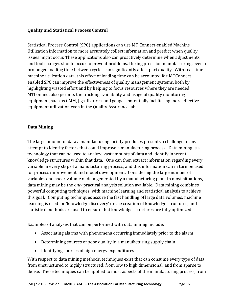# **Quality and Statistical Process Control**

Statistical Process Control (SPC) applications can use MT Connect-enabled Machine Utilization information to more accurately collect information and predict when quality issues might occur. These applications also can proactively determine when adjustments and tool changes should occur to prevent problems. During precision manufacturing, even a prolonged loading time between cycles can significantly affect part quality. With real-time machine utilization data, this effect of loading time can be accounted for. MTConnectenabled SPC can improve the effectiveness of quality management systems, both by highlighting wasted effort and by helping to focus resources where they are needed. MTConnect also permits the tracking availability and usage of quality monitoring equipment, such as CMM, jigs, fixtures, and gauges, potentially facilitating more effective equipment utilization even in the Quality Assurance lab.

## **Data Mining**

The large amount of data a manufacturing facility produces presents a challenge to any attempt to identify factors that could improve a manufacturing process. Data mining is a technology that can be used to analyze vast amounts of data and identify inherent knowledge structures within that data. One can then extract information regarding every variable in every step of a manufacturing process, and this information can in turn be used for process improvement and model development. Considering the large number of variables and sheer volume of data generated by a manufacturing plant in most situations, data mining may be the *only* practical analysis solution available. Data mining combines powerful computing techniques, with machine learning and statistical analysis to achieve this goal. Computing techniques assure the fast handling of large data volumes; machine learning is used for 'knowledge discovery' or the creation of knowledge structures; and statistical methods are used to ensure that knowledge structures are fully optimized.

Examples of analyses that can be performed with data mining include:

- Associating alarms with phenomena occurring immediately prior to the alarm
- Determining sources of poor quality in a manufacturing supply chain
- Identifying sources of high energy expenditures

With respect to data mining methods, techniques exist that can consume every type of data, from unstructured to highly structured, from low to high dimensional, and from sparse to dense. These techniques can be applied to most aspects of the manufacturing process, from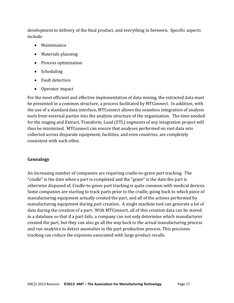development to delivery of the final product, and everything in between. Specific aspects include:

- Maintenance
- Materials planning
- Process optimization
- Scheduling
- Fault detection
- Operator impact

For the most efficient and effective implementation of data mining, the extracted data must be presented in a common structure, a process facilitated by MTConnect. In addition, with the use of a standard data interface, MTConnect allows the seamless integration of analysis tools from external parties into the analysis structure of the organization. The time needed for the staging and Extract, Transform, Load (ETL) segments of any integration project will thus be minimized. MTConnect can ensure that analyses performed on vast data sets collected across disparate equipment, facilities, and even countries, are completely consistent with each other.

# **Genealogy**

An increasing number of companies are requiring cradle-to-grave part tracking. The "cradle" is the date when a part is completed and the "grave" is the date the part is otherwise disposed of. Cradle-to-grave part tracking is quite common with medical devices. Some companies are starting to track parts prior to the cradle, going back to which piece of manufacturing equipment actually created the part, and all of the actions performed by manufacturing equipment during part creation. A single machine tool can generate a lot of data during the creation of a part. With MTConnect, all of this creation data can be stored in a database so that if a part fails, a company can not only determine which manufacturer created the part, but they can also go all the way back to the actual manufacturing process and run analytics to detect anomalies in the part production process. This precision tracking can reduce the expenses associated with large product recalls.